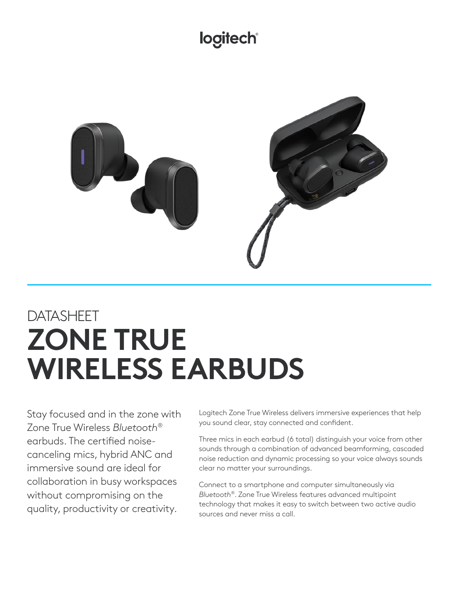## logitech®



# DATASHEET **ZONE TRUE WIRELESS EARBUDS**

Stay focused and in the zone with Zone True Wireless *Bluetooth®* earbuds. The certified noisecanceling mics, hybrid ANC and immersive sound are ideal for collaboration in busy workspaces without compromising on the quality, productivity or creativity.

Logitech Zone True Wireless delivers immersive experiences that help you sound clear, stay connected and confident.

Three mics in each earbud (6 total) distinguish your voice from other sounds through a combination of advanced beamforming, cascaded noise reduction and dynamic processing so your voice always sounds clear no matter your surroundings.

Connect to a smartphone and computer simultaneously via *Bluetooth®*. Zone True Wireless features advanced multipoint technology that makes it easy to switch between two active audio sources and never miss a call.